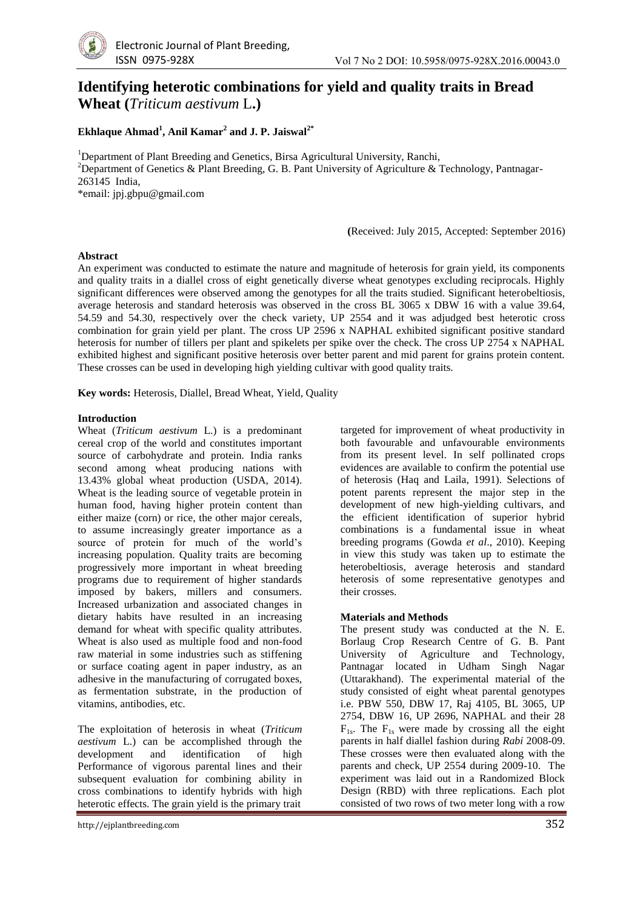

# **Identifying heterotic combinations for yield and quality traits in Bread Wheat (***Triticum aestivum* L**.)**

## **Ekhlaque Ahmad<sup>1</sup> , Anil Kamar<sup>2</sup> and J. P. Jaiswal2\***

<sup>1</sup>Department of Plant Breeding and Genetics, Birsa Agricultural University, Ranchi, <sup>2</sup>Department of Genetics & Plant Breeding, G. B. Pant University of Agriculture & Technology, Pantnagar-263145 India,

\*email: jpj.gbpu@gmail.com

**(**Received: July 2015, Accepted: September 2016)

#### **Abstract**

An experiment was conducted to estimate the nature and magnitude of heterosis for grain yield, its components and quality traits in a diallel cross of eight genetically diverse wheat genotypes excluding reciprocals. Highly significant differences were observed among the genotypes for all the traits studied. Significant heterobeltiosis, average heterosis and standard heterosis was observed in the cross BL 3065 x DBW 16 with a value 39.64, 54.59 and 54.30, respectively over the check variety, UP 2554 and it was adjudged best heterotic cross combination for grain yield per plant. The cross UP 2596 x NAPHAL exhibited significant positive standard heterosis for number of tillers per plant and spikelets per spike over the check. The cross UP 2754 x NAPHAL exhibited highest and significant positive heterosis over better parent and mid parent for grains protein content. These crosses can be used in developing high yielding cultivar with good quality traits.

**Key words:** Heterosis, Diallel, Bread Wheat, Yield, Quality

#### **Introduction**

Wheat (*Triticum aestivum* L.) is a predominant cereal crop of the world and constitutes important source of carbohydrate and protein. India ranks second among wheat producing nations with 13.43% global wheat production (USDA, 2014). Wheat is the leading source of vegetable protein in human food, having higher protein content than either maize (corn) or rice, the other major cereals, to assume increasingly greater importance as a source of protein for much of the world's increasing population. Quality traits are becoming progressively more important in wheat breeding programs due to requirement of higher standards imposed by bakers, millers and consumers. Increased urbanization and associated changes in dietary habits have resulted in an increasing demand for wheat with specific quality attributes. Wheat is also used as multiple food and non-food raw material in some industries such as stiffening or surface coating agent in paper industry, as an adhesive in the manufacturing of corrugated boxes, as fermentation substrate, in the production of vitamins, antibodies, etc.

The exploitation of heterosis in wheat (*Triticum aestivum* L.) can be accomplished through the development and identification of high Performance of vigorous parental lines and their subsequent evaluation for combining ability in cross combinations to identify hybrids with high heterotic effects. The grain yield is the primary trait

targeted for improvement of wheat productivity in both favourable and unfavourable environments from its present level. In self pollinated crops evidences are available to confirm the potential use of heterosis (Haq and Laila, 1991). Selections of potent parents represent the major step in the development of new high-yielding cultivars, and the efficient identification of superior hybrid combinations is a fundamental issue in wheat breeding programs (Gowda *et al*., 2010). Keeping in view this study was taken up to estimate the heterobeltiosis, average heterosis and standard heterosis of some representative genotypes and their crosses.

### **Materials and Methods**

The present study was conducted at the N. E. Borlaug Crop Research Centre of G. B. Pant University of Agriculture and Technology, Pantnagar located in Udham Singh Nagar (Uttarakhand). The experimental material of the study consisted of eight wheat parental genotypes i.e. PBW 550, DBW 17, Raj 4105, BL 3065, UP 2754, DBW 16, UP 2696, NAPHAL and their 28  $F_{1s}$ . The  $F_{1s}$  were made by crossing all the eight parents in half diallel fashion during *Rabi* 2008-09. These crosses were then evaluated along with the parents and check, UP 2554 during 2009-10. The experiment was laid out in a Randomized Block Design (RBD) with three replications. Each plot consisted of two rows of two meter long with a row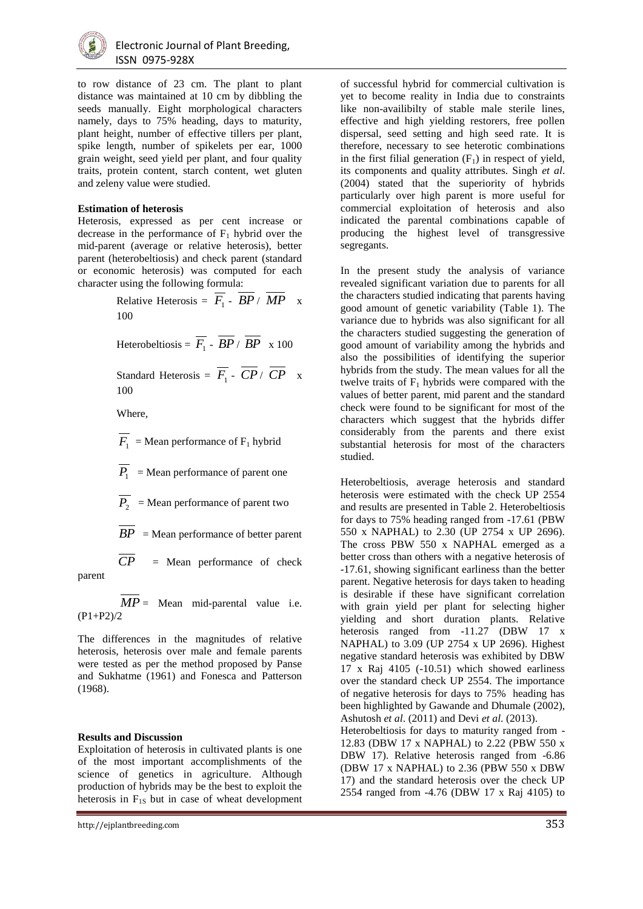

to row distance of 23 cm. The plant to plant distance was maintained at 10 cm by dibbling the seeds manually. Eight morphological characters namely, days to 75% heading, days to maturity, plant height, number of effective tillers per plant, spike length, number of spikelets per ear, 1000 grain weight, seed yield per plant, and four quality traits, protein content, starch content, wet gluten and zeleny value were studied.

#### **Estimation of heterosis**

Heterosis, expressed as per cent increase or decrease in the performance of  $F_1$  hybrid over the mid-parent (average or relative heterosis), better parent (heterobeltiosis) and check parent (standard or economic heterosis) was computed for each character using the following formula:

> Relative Heterosis =  $F_1 - BP / MP \times$ 100

Heterobeltiosis =  $F_1 - BP / BP \times 100$ 

Standard Heterosis =  $F_1$  -  $CP / CP$  x 100

Where,

$$
\overline{F_1}
$$
 = Mean performance of  $F_1$  hybrid

 $P_1$  = Mean performance of parent one

 $P_2$  = Mean performance of parent two

 $\overline{BP}$  = Mean performance of better parent

 $\overline{CP}$  = Mean performance of check parent

 $MP =$  Mean mid-parental value i.e. (P1+P2)/2

The differences in the magnitudes of relative heterosis, heterosis over male and female parents were tested as per the method proposed by Panse and Sukhatme (1961) and Fonesca and Patterson (1968).

### **Results and Discussion**

Exploitation of heterosis in cultivated plants is one of the most important accomplishments of the science of genetics in agriculture. Although production of hybrids may be the best to exploit the heterosis in  $F_{1S}$  but in case of wheat development

http://ejplantbreeding.com 353

of successful hybrid for commercial cultivation is yet to become reality in India due to constraints like non-availibilty of stable male sterile lines, effective and high yielding restorers, free pollen dispersal, seed setting and high seed rate. It is therefore, necessary to see heterotic combinations in the first filial generation  $(F_1)$  in respect of yield, its components and quality attributes. Singh *et al*. (2004) stated that the superiority of hybrids particularly over high parent is more useful for commercial exploitation of heterosis and also indicated the parental combinations capable of producing the highest level of transgressive segregants.

In the present study the analysis of variance revealed significant variation due to parents for all the characters studied indicating that parents having good amount of genetic variability (Table 1). The variance due to hybrids was also significant for all the characters studied suggesting the generation of good amount of variability among the hybrids and also the possibilities of identifying the superior hybrids from the study. The mean values for all the twelve traits of  $F_1$  hybrids were compared with the values of better parent, mid parent and the standard check were found to be significant for most of the characters which suggest that the hybrids differ considerably from the parents and there exist substantial heterosis for most of the characters studied.

Heterobeltiosis, average heterosis and standard heterosis were estimated with the check UP 2554 and results are presented in Table 2. Heterobeltiosis for days to 75% heading ranged from -17.61 (PBW 550 x NAPHAL) to 2.30 (UP 2754 x UP 2696). The cross PBW 550 x NAPHAL emerged as a better cross than others with a negative heterosis of -17.61, showing significant earliness than the better parent. Negative heterosis for days taken to heading is desirable if these have significant correlation with grain yield per plant for selecting higher yielding and short duration plants. Relative heterosis ranged from -11.27 (DBW 17 x NAPHAL) to 3.09 (UP 2754 x UP 2696). Highest negative standard heterosis was exhibited by DBW 17 x Raj 4105 (-10.51) which showed earliness over the standard check UP 2554. The importance of negative heterosis for days to 75% heading has been highlighted by Gawande and Dhumale (2002), Ashutosh *et al*. (2011) and Devi *et al*. (2013). Heterobeltiosis for days to maturity ranged from - 12.83 (DBW 17 x NAPHAL) to 2.22 (PBW 550 x DBW 17). Relative heterosis ranged from -6.86 (DBW 17 x NAPHAL) to 2.36 (PBW 550 x DBW 17) and the standard heterosis over the check UP 2554 ranged from -4.76 (DBW 17 x Raj 4105) to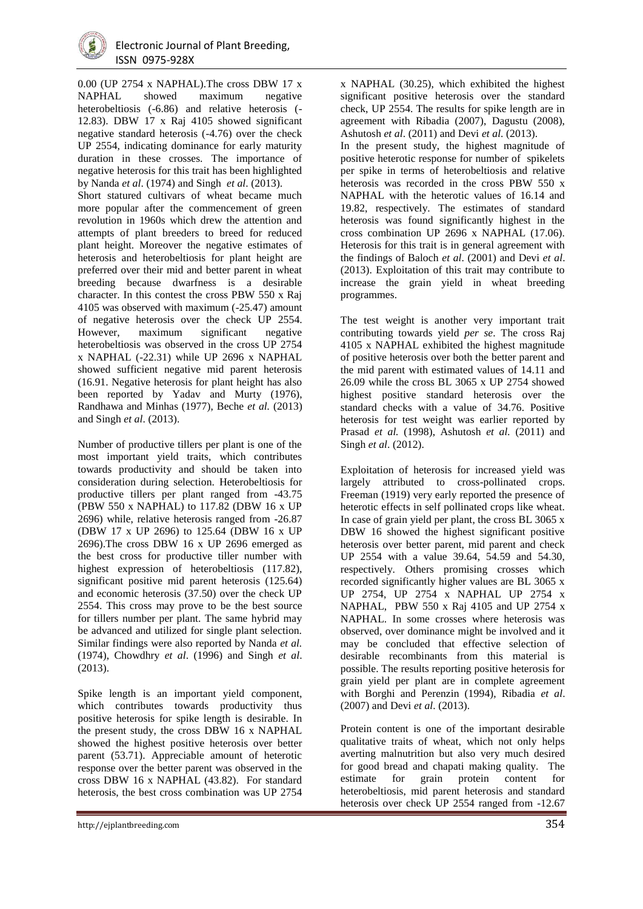

0.00 (UP 2754 x NAPHAL).The cross DBW 17 x NAPHAL showed maximum negative heterobeltiosis (-6.86) and relative heterosis (- 12.83). DBW 17 x Raj 4105 showed significant negative standard heterosis (-4.76) over the check UP 2554, indicating dominance for early maturity duration in these crosses. The importance of negative heterosis for this trait has been highlighted by Nanda *et al*. (1974) and Singh *et al*. (2013).

Short statured cultivars of wheat became much more popular after the commencement of green revolution in 1960s which drew the attention and attempts of plant breeders to breed for reduced plant height. Moreover the negative estimates of heterosis and heterobeltiosis for plant height are preferred over their mid and better parent in wheat breeding because dwarfness is a desirable character. In this contest the cross PBW 550 x Raj 4105 was observed with maximum (-25.47) amount of negative heterosis over the check UP 2554. However, maximum significant negative heterobeltiosis was observed in the cross UP 2754 x NAPHAL (-22.31) while UP 2696 x NAPHAL showed sufficient negative mid parent heterosis (16.91. Negative heterosis for plant height has also been reported by Yadav and Murty (1976), Randhawa and Minhas (1977), Beche *et al.* (2013) and Singh *et al*. (2013).

Number of productive tillers per plant is one of the most important yield traits, which contributes towards productivity and should be taken into consideration during selection. Heterobeltiosis for productive tillers per plant ranged from -43.75 (PBW 550 x NAPHAL) to 117.82 (DBW 16 x UP 2696) while, relative heterosis ranged from -26.87 (DBW 17 x UP 2696) to 125.64 (DBW 16 x UP 2696).The cross DBW 16 x UP 2696 emerged as the best cross for productive tiller number with highest expression of heterobeltiosis (117.82), significant positive mid parent heterosis (125.64) and economic heterosis (37.50) over the check UP 2554. This cross may prove to be the best source for tillers number per plant. The same hybrid may be advanced and utilized for single plant selection. Similar findings were also reported by Nanda *et al.* (1974), Chowdhry *et al*. (1996) and Singh *et al*. (2013).

Spike length is an important yield component, which contributes towards productivity thus positive heterosis for spike length is desirable. In the present study, the cross DBW 16 x NAPHAL showed the highest positive heterosis over better parent (53.71). Appreciable amount of heterotic response over the better parent was observed in the cross DBW 16 x NAPHAL (43.82). For standard heterosis, the best cross combination was UP 2754

x NAPHAL (30.25), which exhibited the highest significant positive heterosis over the standard check, UP 2554. The results for spike length are in agreement with Ribadia (2007), Dagustu (2008), Ashutosh *et al*. (2011) and Devi *et al*. (2013).

In the present study, the highest magnitude of positive heterotic response for number of spikelets per spike in terms of heterobeltiosis and relative heterosis was recorded in the cross PBW 550 x NAPHAL with the heterotic values of 16.14 and 19.82, respectively. The estimates of standard heterosis was found significantly highest in the cross combination UP 2696 x NAPHAL (17.06). Heterosis for this trait is in general agreement with the findings of Baloch *et al*. (2001) and Devi *et al*. (2013). Exploitation of this trait may contribute to increase the grain yield in wheat breeding programmes.

The test weight is another very important trait contributing towards yield *per se*. The cross Raj 4105 x NAPHAL exhibited the highest magnitude of positive heterosis over both the better parent and the mid parent with estimated values of 14.11 and 26.09 while the cross BL 3065 x UP 2754 showed highest positive standard heterosis over the standard checks with a value of 34.76. Positive heterosis for test weight was earlier reported by Prasad *et al.* (1998), Ashutosh *et al.* (2011) and Singh *et al*. (2012).

Exploitation of heterosis for increased yield was largely attributed to cross-pollinated crops. Freeman (1919) very early reported the presence of heterotic effects in self pollinated crops like wheat. In case of grain yield per plant, the cross BL 3065 x DBW 16 showed the highest significant positive heterosis over better parent, mid parent and check UP 2554 with a value 39.64, 54.59 and 54.30, respectively. Others promising crosses which recorded significantly higher values are BL 3065 x UP 2754, UP 2754 x NAPHAL UP 2754 x NAPHAL, PBW 550 x Raj 4105 and UP 2754 x NAPHAL. In some crosses where heterosis was observed, over dominance might be involved and it may be concluded that effective selection of desirable recombinants from this material is possible. The results reporting positive heterosis for grain yield per plant are in complete agreement with Borghi and Perenzin (1994), Ribadia *et al*. (2007) and Devi *et al*. (2013).

Protein content is one of the important desirable qualitative traits of wheat, which not only helps averting malnutrition but also very much desired for good bread and chapati making quality. The estimate for grain protein content for heterobeltiosis, mid parent heterosis and standard heterosis over check UP 2554 ranged from -12.67

http://ejplantbreeding.com 354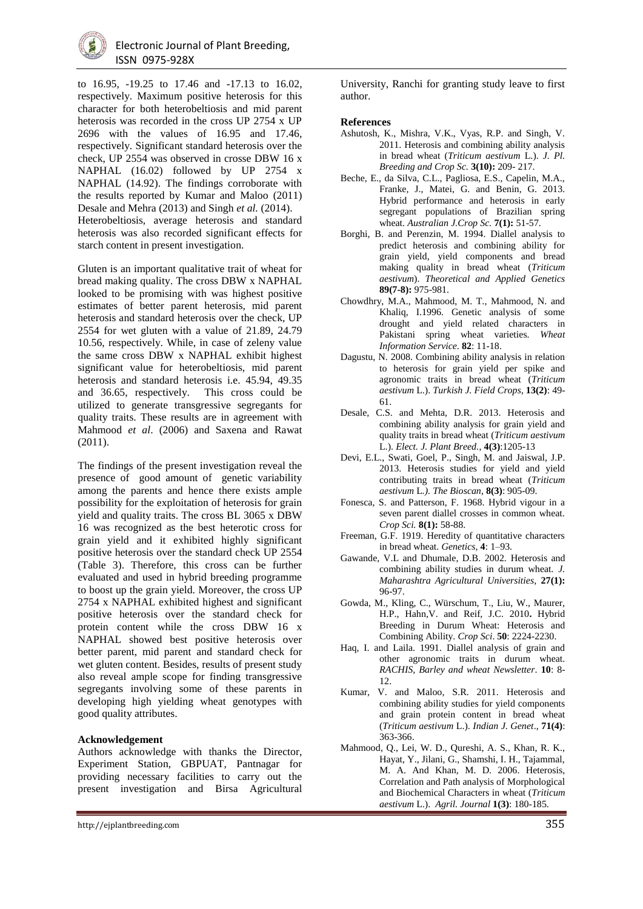

to 16.95, -19.25 to 17.46 and -17.13 to 16.02, respectively. Maximum positive heterosis for this character for both heterobeltiosis and mid parent heterosis was recorded in the cross UP 2754 x UP 2696 with the values of 16.95 and 17.46, respectively. Significant standard heterosis over the check, UP 2554 was observed in crosse DBW 16 x NAPHAL (16.02) followed by UP 2754 x NAPHAL (14.92). The findings corroborate with the results reported by Kumar and Maloo (2011) Desale and Mehra (2013) and Singh *et al.* (2014). Heterobeltiosis, average heterosis and standard heterosis was also recorded significant effects for starch content in present investigation.

Gluten is an important qualitative trait of wheat for bread making quality. The cross DBW x NAPHAL looked to be promising with was highest positive estimates of better parent heterosis, mid parent heterosis and standard heterosis over the check, UP 2554 for wet gluten with a value of 21.89, 24.79 10.56, respectively. While, in case of zeleny value the same cross DBW x NAPHAL exhibit highest significant value for heterobeltiosis, mid parent heterosis and standard heterosis i.e. 45.94, 49.35 and 36.65, respectively. This cross could be utilized to generate transgressive segregants for quality traits. These results are in agreement with Mahmood *et al*. (2006) and Saxena and Rawat (2011).

The findings of the present investigation reveal the presence of good amount of genetic variability among the parents and hence there exists ample possibility for the exploitation of heterosis for grain yield and quality traits. The cross BL 3065 x DBW 16 was recognized as the best heterotic cross for grain yield and it exhibited highly significant positive heterosis over the standard check UP 2554 (Table 3). Therefore, this cross can be further evaluated and used in hybrid breeding programme to boost up the grain yield. Moreover, the cross UP 2754 x NAPHAL exhibited highest and significant positive heterosis over the standard check for protein content while the cross DBW 16 x NAPHAL showed best positive heterosis over better parent, mid parent and standard check for wet gluten content. Besides, results of present study also reveal ample scope for finding transgressive segregants involving some of these parents in developing high yielding wheat genotypes with good quality attributes.

#### **Acknowledgement**

Authors acknowledge with thanks the Director, Experiment Station, GBPUAT, Pantnagar for providing necessary facilities to carry out the present investigation and Birsa Agricultural University, Ranchi for granting study leave to first author.

#### **References**

- Ashutosh, K., Mishra, V.K., Vyas, R.P. and Singh, V. 2011. Heterosis and combining ability analysis in bread wheat (*Triticum aestivum* L.). *J. Pl. Breeding and Crop Sc.* **3(10):** 209- 217.
- Beche, E., da Silva, C.L., Pagliosa, E.S., Capelin, M.A., Franke, J., Matei, G. and Benin, G. 2013. Hybrid performance and heterosis in early segregant populations of Brazilian spring wheat. *Australian J.Crop Sc.* **7(1):** 51-57.
- Borghi, B. and Perenzin, M. 1994. Diallel analysis to predict heterosis and combining ability for grain yield, yield components and bread making quality in bread wheat (*Triticum aestivum*). *Theoretical and Applied Genetics* **89(7-8):** 975-981.
- Chowdhry, M.A., Mahmood, M. T., Mahmood, N. and Khaliq, I.1996. Genetic analysis of some drought and yield related characters in Pakistani spring wheat varieties. *Wheat Information Service*. **82**: 11-18.
- Dagustu, N. 2008. Combining ability analysis in relation to heterosis for grain yield per spike and agronomic traits in bread wheat (*Triticum aestivum* L.). *Turkish J. Field Crops*, **13(2)**: 49- 61.
- Desale, C.S. and Mehta, D.R. 2013. Heterosis and combining ability analysis for grain yield and quality traits in bread wheat (*Triticum aestivum* L.). *Elect. J. Plant Breed.*, **4(3)**:1205-13
- Devi, E.L., Swati, Goel, P., Singh, M. and Jaiswal, J.P. 2013. Heterosis studies for yield and yield contributing traits in bread wheat (*Triticum aestivum* L*.). The Bioscan*, **8(3)**: 905-09.
- Fonesca, S. and Patterson, F. 1968. Hybrid vigour in a seven parent diallel crosses in common wheat. *Crop Sci.* **8(1):** 58-88.
- Freeman, G.F. 1919. Heredity of quantitative characters in bread wheat. *Genetics,* **4**: 1–93.
- Gawande, V.L and Dhumale, D.B. 2002. Heterosis and combining ability studies in durum wheat*. J. Maharashtra Agricultural Universities*, **27(1):**  96-97.
- Gowda, M., Kling, C., Würschum, T., Liu, W., Maurer, H.P., Hahn,V. and Reif, J.C. 2010**.** Hybrid Breeding in Durum Wheat: Heterosis and Combining Ability. *Crop Sci*. **50**: 2224-2230.
- Haq, I. and Laila. 1991. Diallel analysis of grain and other agronomic traits in durum wheat. *RACHIS, Barley and wheat Newsletter*. **10**: 8- 12.
- Kumar, V. and Maloo, S.R. 2011. Heterosis and combining ability studies for yield components and grain protein content in bread wheat (*Triticum aestivum* L.). *Indian J. Genet*., **71(4)**: 363-366.
- Mahmood, Q., Lei, W. D., Qureshi, A. S., Khan, R. K., Hayat, Y., Jilani, G., Shamshi, I. H., Tajammal, M. A. And Khan, M. D. 2006. Heterosis, Correlation and Path analysis of Morphological and Biochemical Characters in wheat (*Triticum aestivum* L.). *Agril. Journal* **1(3)**: 180-185.

http://ejplantbreeding.com 355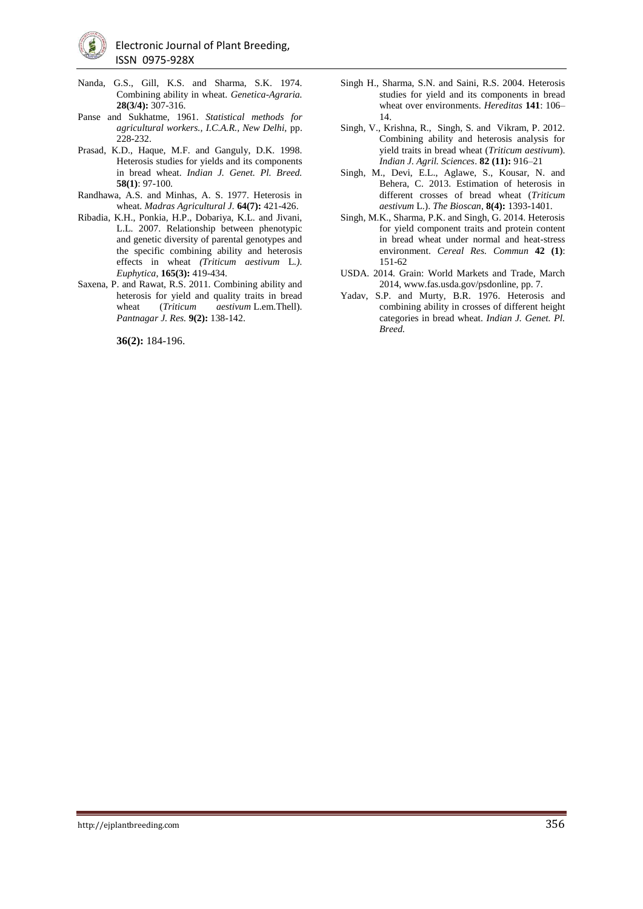

- Nanda, G.S., Gill, K.S. and Sharma, S.K. 1974. Combining ability in wheat. *Genetica-Agraria.*  **28(3/4):** 307-316.
- Panse and Sukhatme, 1961. *Statistical methods for agricultural workers., I.C.A.R., New Delhi,* pp. 228-232.
- Prasad, K.D., Haque, M.F. and Ganguly, D.K. 1998. Heterosis studies for yields and its components in bread wheat. *Indian J. Genet. Pl. Breed.* **58(1)**: 97-100.
- Randhawa, A.S. and Minhas, A. S. 1977. Heterosis in wheat. *Madras Agricultural J.* **64(7):** 421-426.
- Ribadia, K.H., Ponkia, H.P., Dobariya, K.L. and Jivani, L.L. 2007. Relationship between phenotypic and genetic diversity of parental genotypes and the specific combining ability and heterosis effects in wheat *(Triticum aestivum* L*.). Euphytica*, **165(3):** 419-434.
- Saxena, P. and Rawat, R.S. 2011. Combining ability and heterosis for yield and quality traits in bread wheat (*Triticum aestivum* L.em.Thell). *Pantnagar J. Res.* **9(2):** 138-142.

**36(2):** 184-196.

- Singh H., Sharma, S.N. and Saini, R.S. 2004. Heterosis studies for yield and its components in bread wheat over environments. *Hereditas* **141**: 106– 14.
- Singh, V., Krishna, R., Singh, S. and Vikram, P. 2012. Combining ability and heterosis analysis for yield traits in bread wheat (*Triticum aestivum*). *Indian J. Agril. Sciences*. **82 (11):** 916–21
- Singh, M., Devi, E.L., Aglawe, S., Kousar, N. and Behera, C. 2013. Estimation of heterosis in different crosses of bread wheat (*Triticum aestivum* L.). *The Bioscan*, **8(4):** 1393-1401.
- Singh, M.K., Sharma, P.K. and Singh, G. 2014. Heterosis for yield component traits and protein content in bread wheat under normal and heat-stress environment. *Cereal Res. Commun* **42 (1)**: 151-62
- USDA. 2014. Grain: World Markets and Trade, March 2014, www.fas.usda.gov/psdonline, pp. 7.
- Yadav, S.P. and Murty, B.R. 1976. Heterosis and combining ability in crosses of different height categories in bread wheat. *Indian J. Genet. Pl. Breed.*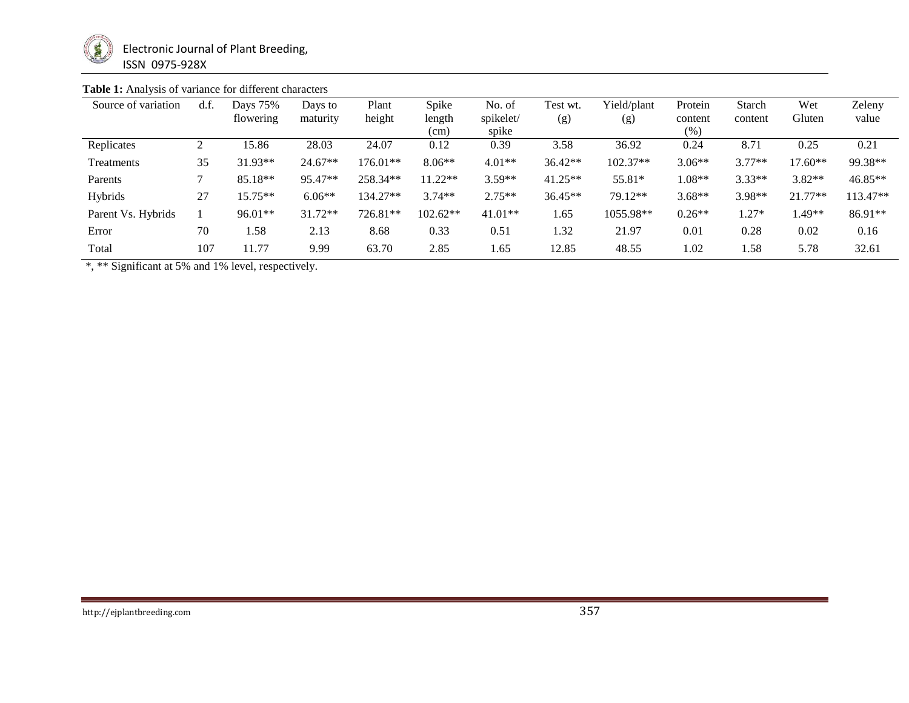

# **Table 1:** Analysis of variance for different characters

| Source of variation | d.f. | Days 75%<br>flowering | Days to<br>maturity | Plant<br>height | Spike<br>length | No. of<br>spikelet/ | Test wt.<br>(g) | Yield/plant<br>(g) | Protein<br>content | Starch<br>content | Wet<br>Gluten | Zeleny<br>value |
|---------------------|------|-----------------------|---------------------|-----------------|-----------------|---------------------|-----------------|--------------------|--------------------|-------------------|---------------|-----------------|
|                     |      |                       |                     |                 | (cm)            | spike               |                 |                    | (% )               |                   |               |                 |
| Replicates          |      | 15.86                 | 28.03               | 24.07           | 0.12            | 0.39                | 3.58            | 36.92              | 0.24               | 8.71              | 0.25          | 0.21            |
| Treatments          | 35   | $31.93**$             | $24.67**$           | 176.01**        | $8.06**$        | $4.01**$            | $36.42**$       | $102.37**$         | $3.06**$           | $3.77**$          | $17.60**$     | 99.38**         |
| Parents             |      | 85.18**               | 95.47**             | 258.34**        | $11.22**$       | $3.59**$            | $41.25**$       | 55.81*             | $1.08**$           | $3.33**$          | $3.82**$      | $46.85**$       |
| Hybrids             | 27   | $15.75**$             | $6.06**$            | 134.27**        | $3.74**$        | $2.75**$            | $36.45**$       | 79.12**            | $3.68**$           | 3.98**            | $21.77**$     | 113.47**        |
| Parent Vs. Hybrids  |      | $96.01**$             | $31.72**$           | 726.81**        | $102.62**$      | 41.01**             | 1.65            | 1055.98**          | $0.26**$           | $1.27*$           | $.49**$       | 86.91**         |
| Error               | 70   | 1.58                  | 2.13                | 8.68            | 0.33            | 0.51                | 1.32            | 21.97              | 0.01               | 0.28              | 0.02          | 0.16            |
| Total               | 107  | 11.77                 | 9.99                | 63.70           | 2.85            | 1.65                | 12.85           | 48.55              | 1.02               | .58               | 5.78          | 32.61           |

\*, \*\* Significant at 5% and 1% level, respectively.

http://ejplantbreeding.com 357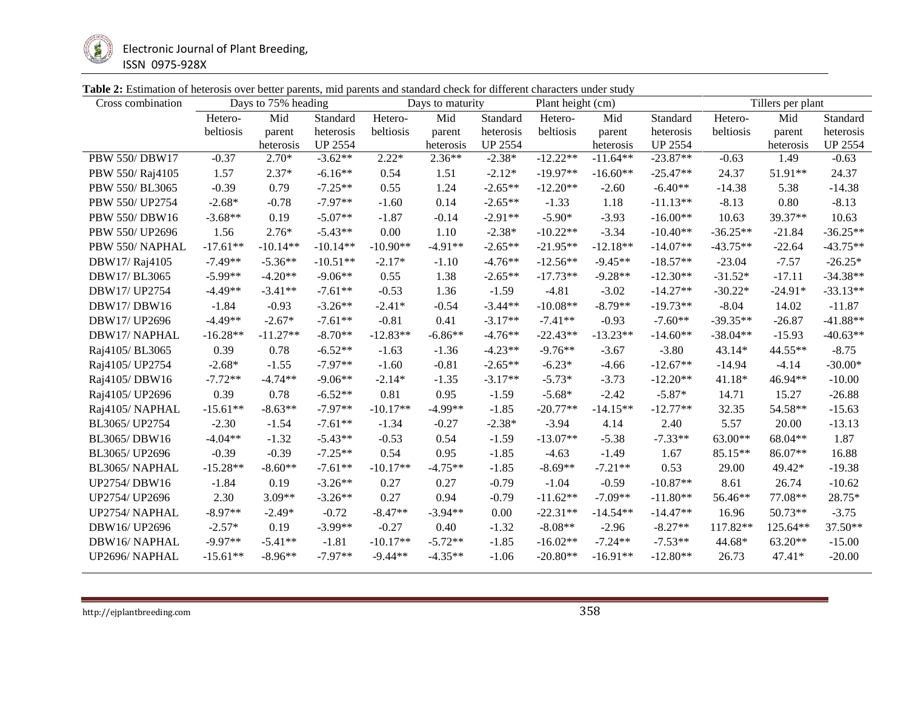

| <b>Table 2:</b> Estimation of heterosis over better parents, mid parents and standard check for different characters under study |  |  |  |
|----------------------------------------------------------------------------------------------------------------------------------|--|--|--|
|----------------------------------------------------------------------------------------------------------------------------------|--|--|--|

| Cross combination | Days to 75% heading |            | Days to maturity |            |           | Plant height (cm) |            | Tillers per plant |                |            |           |                |
|-------------------|---------------------|------------|------------------|------------|-----------|-------------------|------------|-------------------|----------------|------------|-----------|----------------|
|                   | Hetero-             | Mid        | Standard         | Hetero-    | Mid       | Standard          | Hetero-    | Mid               | Standard       | Hetero-    | Mid       | Standard       |
|                   | beltiosis           | parent     | heterosis        | beltiosis  | parent    | heterosis         | beltiosis  | parent            | heterosis      | beltiosis  | parent    | heterosis      |
|                   |                     | heterosis  | <b>UP 2554</b>   |            | heterosis | <b>UP 2554</b>    |            | heterosis         | <b>UP 2554</b> |            | heterosis | <b>UP 2554</b> |
| PBW 550/DBW17     | $-0.37$             | $2.70*$    | $-3.62**$        | $2.22*$    | $2.36**$  | $-2.38*$          | $-12.22**$ | $-11.64**$        | $-23.87**$     | $-0.63$    | 1.49      | $-0.63$        |
| PBW 550/Raj4105   | 1.57                | $2.37*$    | $-6.16**$        | 0.54       | 1.51      | $-2.12*$          | $-19.97**$ | $-16.60**$        | $-25.47**$     | 24.37      | 51.91**   | 24.37          |
| PBW 550/BL3065    | $-0.39$             | 0.79       | $-7.25**$        | 0.55       | 1.24      | $-2.65**$         | $-12.20**$ | $-2.60$           | $-6.40**$      | $-14.38$   | 5.38      | $-14.38$       |
| PBW 550/ UP2754   | $-2.68*$            | $-0.78$    | $-7.97**$        | $-1.60$    | 0.14      | $-2.65**$         | $-1.33$    | 1.18              | $-11.13**$     | $-8.13$    | 0.80      | $-8.13$        |
| PBW 550/DBW16     | $-3.68**$           | 0.19       | $-5.07**$        | $-1.87$    | $-0.14$   | $-2.91**$         | $-5.90*$   | $-3.93$           | $-16.00**$     | 10.63      | 39.37**   | 10.63          |
| PBW 550/ UP2696   | 1.56                | $2.76*$    | $-5.43**$        | 0.00       | 1.10      | $-2.38*$          | $-10.22**$ | $-3.34$           | $-10.40**$     | $-36.25**$ | $-21.84$  | $-36.25**$     |
| PBW 550/NAPHAL    | $-17.61**$          | $-10.14**$ | $-10.14**$       | $-10.90**$ | $-4.91**$ | $-2.65**$         | $-21.95**$ | $-12.18**$        | $-14.07**$     | $-43.75**$ | $-22.64$  | $-43.75**$     |
| DBW17/Raj4105     | $-7.49**$           | $-5.36**$  | $-10.51**$       | $-2.17*$   | $-1.10$   | $-4.76**$         | $-12.56**$ | $-9.45**$         | $-18.57**$     | $-23.04$   | $-7.57$   | $-26.25*$      |
| DBW17/BL3065      | $-5.99**$           | $-4.20**$  | $-9.06**$        | 0.55       | 1.38      | $-2.65**$         | $-17.73**$ | $-9.28**$         | $-12.30**$     | $-31.52*$  | $-17.11$  | $-34.38**$     |
| DBW17/UP2754      | $-4.49**$           | $-3.41**$  | $-7.61**$        | $-0.53$    | 1.36      | $-1.59$           | $-4.81$    | $-3.02$           | $-14.27**$     | $-30.22*$  | $-24.91*$ | $-33.13**$     |
| DBW17/DBW16       | $-1.84$             | $-0.93$    | $-3.26**$        | $-2.41*$   | $-0.54$   | $-3.44**$         | $-10.08**$ | $-8.79**$         | $-19.73**$     | $-8.04$    | 14.02     | $-11.87$       |
| DBW17/UP2696      | $-4.49**$           | $-2.67*$   | $-7.61**$        | $-0.81$    | 0.41      | $-3.17**$         | $-7.41**$  | $-0.93$           | $-7.60**$      | $-39.35**$ | $-26.87$  | $-41.88**$     |
| DBW17/NAPHAL      | $-16.28**$          | $-11.27**$ | $-8.70**$        | $-12.83**$ | $-6.86**$ | $-4.76**$         | $-22.43**$ | $-13.23**$        | $-14.60**$     | $-38.04**$ | $-15.93$  | $-40.63**$     |
| Raj4105/BL3065    | 0.39                | 0.78       | $-6.52**$        | $-1.63$    | $-1.36$   | $-4.23**$         | $-9.76**$  | $-3.67$           | $-3.80$        | 43.14*     | 44.55**   | $-8.75$        |
| Raj4105/ UP2754   | $-2.68*$            | $-1.55$    | $-7.97**$        | $-1.60$    | $-0.81$   | $-2.65**$         | $-6.23*$   | $-4.66$           | $-12.67**$     | $-14.94$   | $-4.14$   | $-30.00*$      |
| Raj4105/DBW16     | $-7.72**$           | $-4.74**$  | $-9.06**$        | $-2.14*$   | $-1.35$   | $-3.17**$         | $-5.73*$   | $-3.73$           | $-12.20**$     | 41.18*     | 46.94**   | $-10.00$       |
| Raj4105/ UP2696   | 0.39                | 0.78       | $-6.52**$        | 0.81       | 0.95      | $-1.59$           | $-5.68*$   | $-2.42$           | $-5.87*$       | 14.71      | 15.27     | $-26.88$       |
| Raj4105/NAPHAL    | $-15.61**$          | $-8.63**$  | $-7.97**$        | $-10.17**$ | $-4.99**$ | $-1.85$           | $-20.77**$ | $-14.15**$        | $-12.77**$     | 32.35      | 54.58**   | $-15.63$       |
| BL3065/UP2754     | $-2.30$             | $-1.54$    | $-7.61**$        | $-1.34$    | $-0.27$   | $-2.38*$          | $-3.94$    | 4.14              | 2.40           | 5.57       | 20.00     | $-13.13$       |
| BL3065/DBW16      | $-4.04**$           | $-1.32$    | $-5.43**$        | $-0.53$    | 0.54      | $-1.59$           | $-13.07**$ | $-5.38$           | $-7.33**$      | 63.00**    | 68.04**   | 1.87           |
| BL3065/ UP2696    | $-0.39$             | $-0.39$    | $-7.25**$        | 0.54       | 0.95      | $-1.85$           | $-4.63$    | $-1.49$           | 1.67           | 85.15**    | 86.07**   | 16.88          |
| BL3065/NAPHAL     | $-15.28**$          | $-8.60**$  | $-7.61**$        | $-10.17**$ | $-4.75**$ | $-1.85$           | $-8.69**$  | $-7.21**$         | 0.53           | 29.00      | 49.42*    | $-19.38$       |
| UP2754/DBW16      | $-1.84$             | 0.19       | $-3.26**$        | 0.27       | 0.27      | $-0.79$           | $-1.04$    | $-0.59$           | $-10.87**$     | 8.61       | 26.74     | $-10.62$       |
| UP2754/ UP2696    | 2.30                | $3.09**$   | $-3.26**$        | 0.27       | 0.94      | $-0.79$           | $-11.62**$ | $-7.09**$         | $-11.80**$     | 56.46**    | 77.08**   | 28.75*         |
| UP2754/ NAPHAL    | $-8.97**$           | $-2.49*$   | $-0.72$          | $-8.47**$  | $-3.94**$ | 0.00              | $-22.31**$ | $-14.54**$        | $-14.47**$     | 16.96      | $50.73**$ | $-3.75$        |
| DBW16/UP2696      | $-2.57*$            | 0.19       | $-3.99**$        | $-0.27$    | 0.40      | $-1.32$           | $-8.08**$  | $-2.96$           | $-8.27**$      | 117.82**   | 125.64**  | 37.50**        |
| DBW16/NAPHAL      | $-9.97**$           | $-5.41**$  | $-1.81$          | $-10.17**$ | $-5.72**$ | $-1.85$           | $-16.02**$ | $-7.24**$         | $-7.53**$      | 44.68*     | 63.20**   | $-15.00$       |
| UP2696/NAPHAL     | $-15.61**$          | $-8.96**$  | $-7.97**$        | $-9.44**$  | $-4.35**$ | $-1.06$           | $-20.80**$ | $-16.91**$        | $-12.80**$     | 26.73      | 47.41*    | $-20.00$       |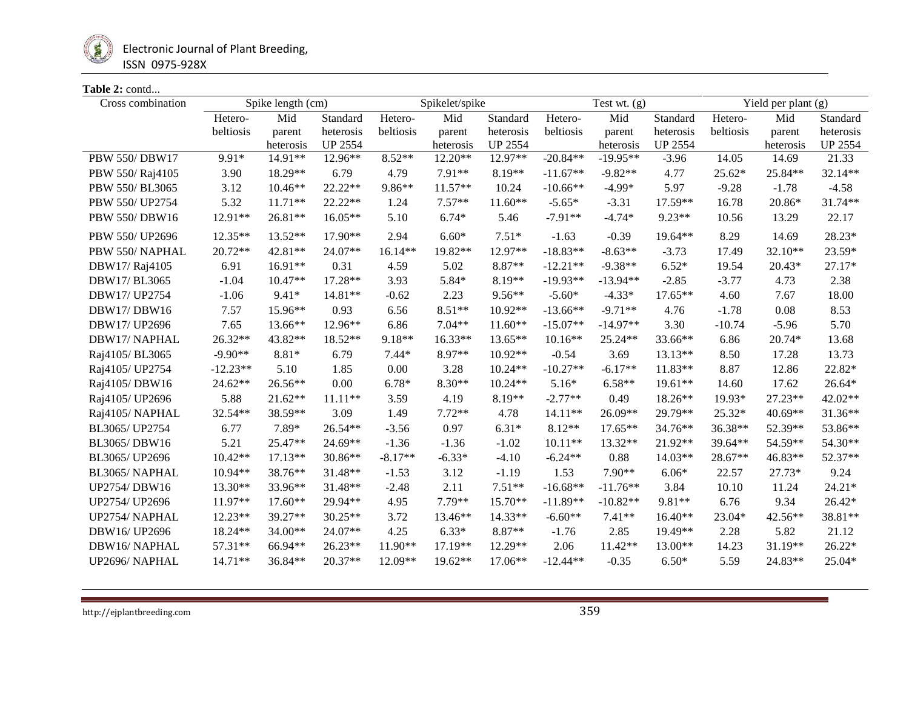

## **Table 2:** contd...

| Cross combination | Spike length (cm) |           | Spikelet/spike |           |           | Test wt. $(g)$ |            |            | Yield per plant (g) |           |           |                |
|-------------------|-------------------|-----------|----------------|-----------|-----------|----------------|------------|------------|---------------------|-----------|-----------|----------------|
|                   | Hetero-           | Mid       | Standard       | Hetero-   | Mid       | Standard       | Hetero-    | Mid        | Standard            | Hetero-   | Mid       | Standard       |
|                   | beltiosis         | parent    | heterosis      | beltiosis | parent    | heterosis      | beltiosis  | parent     | heterosis           | beltiosis | parent    | heterosis      |
|                   |                   | heterosis | <b>UP 2554</b> |           | heterosis | <b>UP 2554</b> |            | heterosis  | <b>UP 2554</b>      |           | heterosis | <b>UP 2554</b> |
| PBW 550/DBW17     | 9.91*             | 14.91**   | 12.96**        | $8.52**$  | 12.20**   | 12.97**        | $-20.84**$ | $-19.95**$ | $-3.96$             | 14.05     | 14.69     | 21.33          |
| PBW 550/Raj4105   | 3.90              | 18.29**   | 6.79           | 4.79      | 7.91**    | 8.19**         | $-11.67**$ | $-9.82**$  | 4.77                | 25.62*    | 25.84**   | 32.14**        |
| PBW 550/BL3065    | 3.12              | $10.46**$ | $22.22**$      | 9.86**    | $11.57**$ | 10.24          | $-10.66**$ | $-4.99*$   | 5.97                | $-9.28$   | $-1.78$   | $-4.58$        |
| PBW 550/ UP2754   | 5.32              | $11.71**$ | 22.22**        | 1.24      | $7.57**$  | $11.60**$      | $-5.65*$   | $-3.31$    | 17.59**             | 16.78     | 20.86*    | 31.74**        |
| PBW 550/DBW16     | 12.91**           | 26.81**   | 16.05**        | 5.10      | $6.74*$   | 5.46           | $-7.91**$  | $-4.74*$   | 9.23**              | 10.56     | 13.29     | 22.17          |
| PBW 550/ UP2696   | $12.35**$         | $13.52**$ | 17.90**        | 2.94      | $6.60*$   | $7.51*$        | $-1.63$    | $-0.39$    | $19.64**$           | 8.29      | 14.69     | 28.23*         |
| PBW 550/NAPHAL    | $20.72**$         | 42.81**   | 24.07**        | $16.14**$ | 19.82**   | 12.97**        | $-18.83**$ | $-8.63**$  | $-3.73$             | 17.49     | 32.10**   | 23.59*         |
| DBW17/Raj4105     | 6.91              | $16.91**$ | 0.31           | 4.59      | 5.02      | 8.87**         | $-12.21**$ | $-9.38**$  | $6.52*$             | 19.54     | $20.43*$  | 27.17*         |
| DBW17/BL3065      | $-1.04$           | $10.47**$ | 17.28**        | 3.93      | 5.84*     | $8.19**$       | $-19.93**$ | $-13.94**$ | $-2.85$             | $-3.77$   | 4.73      | 2.38           |
| DBW17/UP2754      | $-1.06$           | $9.41*$   | 14.81**        | $-0.62$   | 2.23      | $9.56**$       | $-5.60*$   | $-4.33*$   | 17.65**             | 4.60      | 7.67      | 18.00          |
| DBW17/DBW16       | 7.57              | 15.96**   | 0.93           | 6.56      | $8.51**$  | $10.92**$      | $-13.66**$ | $-9.71**$  | 4.76                | $-1.78$   | 0.08      | 8.53           |
| DBW17/UP2696      | 7.65              | $13.66**$ | 12.96**        | 6.86      | $7.04**$  | $11.60**$      | $-15.07**$ | $-14.97**$ | 3.30                | $-10.74$  | $-5.96$   | 5.70           |
| DBW17/NAPHAL      | 26.32**           | 43.82**   | 18.52**        | 9.18**    | $16.33**$ | $13.65**$      | $10.16**$  | 25.24**    | 33.66**             | 6.86      | 20.74*    | 13.68          |
| Raj4105/BL3065    | $-9.90**$         | 8.81*     | 6.79           | $7.44*$   | 8.97**    | $10.92**$      | $-0.54$    | 3.69       | $13.13**$           | 8.50      | 17.28     | 13.73          |
| Raj4105/ UP2754   | $-12.23**$        | 5.10      | 1.85           | 0.00      | 3.28      | $10.24**$      | $-10.27**$ | $-6.17**$  | $11.83**$           | 8.87      | 12.86     | 22.82*         |
| Raj4105/DBW16     | 24.62**           | 26.56**   | 0.00           | $6.78*$   | $8.30**$  | $10.24**$      | $5.16*$    | $6.58**$   | 19.61**             | 14.60     | 17.62     | $26.64*$       |
| Raj4105/ UP2696   | 5.88              | $21.62**$ | $11.11**$      | 3.59      | 4.19      | 8.19**         | $-2.77**$  | 0.49       | $18.26**$           | 19.93*    | 27.23**   | 42.02**        |
| Raj4105/NAPHAL    | 32.54**           | 38.59**   | 3.09           | 1.49      | $7.72**$  | 4.78           | $14.11**$  | 26.09**    | 29.79**             | 25.32*    | 40.69**   | 31.36**        |
| BL3065/ UP2754    | 6.77              | 7.89*     | 26.54**        | $-3.56$   | 0.97      | $6.31*$        | $8.12**$   | $17.65**$  | 34.76**             | 36.38**   | 52.39**   | 53.86**        |
| BL3065/DBW16      | 5.21              | 25.47**   | 24.69**        | $-1.36$   | $-1.36$   | $-1.02$        | $10.11**$  | 13.32**    | 21.92**             | 39.64**   | 54.59**   | 54.30**        |
| BL3065/UP2696     | $10.42**$         | $17.13**$ | 30.86**        | $-8.17**$ | $-6.33*$  | $-4.10$        | $-6.24**$  | 0.88       | 14.03**             | 28.67**   | 46.83**   | 52.37**        |
| BL3065/NAPHAL     | $10.94**$         | 38.76**   | 31.48**        | $-1.53$   | 3.12      | $-1.19$        | 1.53       | 7.90**     | $6.06*$             | 22.57     | 27.73*    | 9.24           |
| UP2754/DBW16      | 13.30**           | 33.96**   | 31.48**        | $-2.48$   | 2.11      | $7.51**$       | $-16.68**$ | $-11.76**$ | 3.84                | 10.10     | 11.24     | $24.21*$       |
| UP2754/ UP2696    | 11.97**           | $17.60**$ | 29.94**        | 4.95      | 7.79**    | 15.70**        | $-11.89**$ | $-10.82**$ | 9.81**              | 6.76      | 9.34      | $26.42*$       |
| UP2754/ NAPHAL    | 12.23**           | 39.27**   | 30.25**        | 3.72      | 13.46**   | $14.33**$      | $-6.60**$  | $7.41**$   | $16.40**$           | 23.04*    | 42.56**   | 38.81**        |
| DBW16/UP2696      | 18.24**           | $34.00**$ | 24.07**        | 4.25      | $6.33*$   | $8.87**$       | $-1.76$    | 2.85       | 19.49**             | 2.28      | 5.82      | 21.12          |
| DBW16/NAPHAL      | 57.31**           | 66.94**   | 26.23**        | 11.90**   | 17.19**   | 12.29**        | 2.06       | 11.42**    | 13.00**             | 14.23     | 31.19**   | $26.22*$       |
| UP2696/NAPHAL     | $14.71**$         | 36.84**   | $20.37**$      | 12.09**   | $19.62**$ | $17.06**$      | $-12.44**$ | $-0.35$    | $6.50*$             | 5.59      | 24.83**   | 25.04*         |
|                   |                   |           |                |           |           |                |            |            |                     |           |           |                |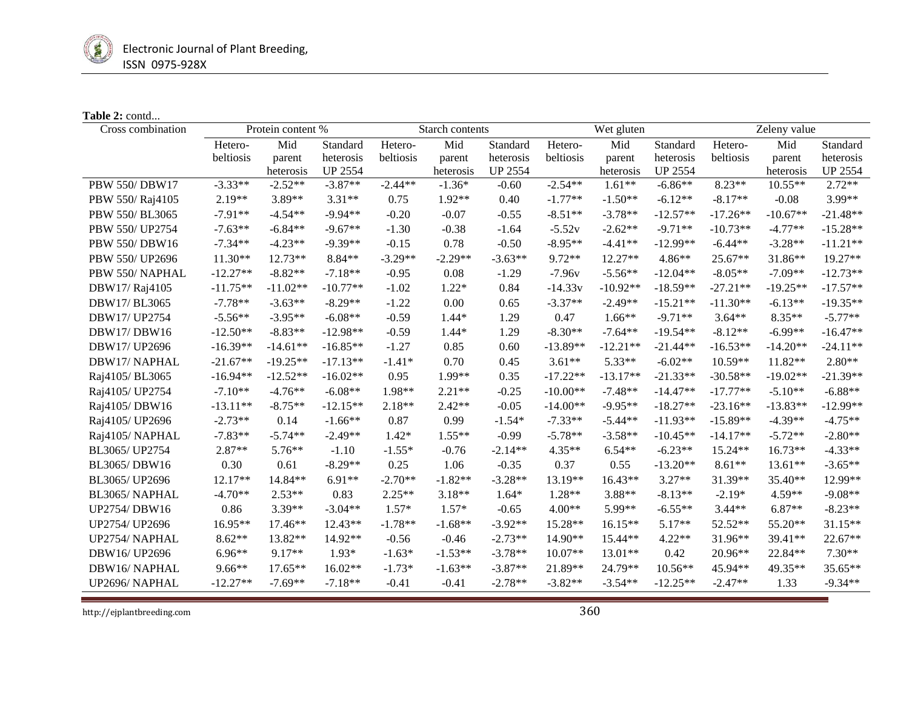

## **Table 2:** contd...

| Cross combination    | Protein content % |            | Starch contents |           |           | Wet gluten     |            |            | Zeleny value   |            |            |                |
|----------------------|-------------------|------------|-----------------|-----------|-----------|----------------|------------|------------|----------------|------------|------------|----------------|
|                      | Hetero-           | Mid        | Standard        | Hetero-   | Mid       | Standard       | Hetero-    | Mid        | Standard       | Hetero-    | Mid        | Standard       |
|                      | beltiosis         | parent     | heterosis       | beltiosis | parent    | heterosis      | beltiosis  | parent     | heterosis      | beltiosis  | parent     | heterosis      |
|                      |                   | heterosis  | <b>UP 2554</b>  |           | heterosis | <b>UP 2554</b> |            | heterosis  | <b>UP 2554</b> |            | heterosis  | <b>UP 2554</b> |
| <b>PBW 550/DBW17</b> | $-3.33**$         | $-2.52**$  | $-3.87**$       | $-2.44**$ | $-1.36*$  | $-0.60$        | $-2.54**$  | $1.61**$   | $-6.86**$      | $8.23**$   | $10.55**$  | $2.72**$       |
| PBW 550/Raj4105      | 2.19**            | 3.89**     | $3.31**$        | 0.75      | 1.92**    | 0.40           | $-1.77**$  | $-1.50**$  | $-6.12**$      | $-8.17**$  | $-0.08$    | 3.99**         |
| PBW 550/BL3065       | $-7.91**$         | $-4.54**$  | $-9.94**$       | $-0.20$   | $-0.07$   | $-0.55$        | $-8.51**$  | $-3.78**$  | $-12.57**$     | $-17.26**$ | $-10.67**$ | $-21.48**$     |
| PBW 550/ UP2754      | $-7.63**$         | $-6.84**$  | $-9.67**$       | $-1.30$   | $-0.38$   | $-1.64$        | $-5.52v$   | $-2.62**$  | $-9.71**$      | $-10.73**$ | $-4.77**$  | $-15.28**$     |
| <b>PBW 550/DBW16</b> | $-7.34**$         | $-4.23**$  | $-9.39**$       | $-0.15$   | 0.78      | $-0.50$        | $-8.95**$  | $-4.41**$  | $-12.99**$     | $-6.44**$  | $-3.28**$  | $-11.21**$     |
| PBW 550/ UP2696      | $11.30**$         | 12.73**    | 8.84**          | $-3.29**$ | $-2.29**$ | $-3.63**$      | $9.72**$   | 12.27**    | $4.86**$       | $25.67**$  | 31.86**    | 19.27**        |
| PBW 550/NAPHAL       | $-12.27**$        | $-8.82**$  | $-7.18**$       | $-0.95$   | 0.08      | $-1.29$        | $-7.96v$   | $-5.56**$  | $-12.04**$     | $-8.05**$  | $-7.09**$  | $-12.73**$     |
| DBW17/Raj4105        | $-11.75**$        | $-11.02**$ | $-10.77**$      | $-1.02$   | $1.22*$   | 0.84           | $-14.33v$  | $-10.92**$ | $-18.59**$     | $-27.21**$ | $-19.25**$ | $-17.57**$     |
| DBW17/BL3065         | $-7.78**$         | $-3.63**$  | $-8.29**$       | $-1.22$   | 0.00      | 0.65           | $-3.37**$  | $-2.49**$  | $-15.21**$     | $-11.30**$ | $-6.13**$  | $-19.35**$     |
| DBW17/UP2754         | $-5.56**$         | $-3.95**$  | $-6.08**$       | $-0.59$   | $1.44*$   | 1.29           | 0.47       | $1.66**$   | $-9.71**$      | $3.64**$   | 8.35**     | $-5.77**$      |
| DBW17/DBW16          | $-12.50**$        | $-8.83**$  | $-12.98**$      | $-0.59$   | $1.44*$   | 1.29           | $-8.30**$  | $-7.64**$  | $-19.54**$     | $-8.12**$  | $-6.99**$  | $-16.47**$     |
| DBW17/UP2696         | $-16.39**$        | $-14.61**$ | $-16.85**$      | $-1.27$   | 0.85      | 0.60           | $-13.89**$ | $-12.21**$ | $-21.44**$     | $-16.53**$ | $-14.20**$ | $-24.11**$     |
| DBW17/NAPHAL         | $-21.67**$        | $-19.25**$ | $-17.13**$      | $-1.41*$  | 0.70      | 0.45           | $3.61**$   | 5.33**     | $-6.02**$      | $10.59**$  | 11.82**    | $2.80**$       |
| Raj4105/ BL3065      | $-16.94**$        | $-12.52**$ | $-16.02**$      | 0.95      | 1.99**    | 0.35           | $-17.22**$ | $-13.17**$ | $-21.33**$     | $-30.58**$ | $-19.02**$ | $-21.39**$     |
| Raj4105/ UP2754      | $-7.10**$         | $-4.76**$  | $-6.08**$       | 1.98**    | $2.21**$  | $-0.25$        | $-10.00**$ | $-7.48**$  | $-14.47**$     | $-17.77**$ | $-5.10**$  | $-6.88**$      |
| Raj4105/DBW16        | $-13.11**$        | $-8.75**$  | $-12.15**$      | $2.18**$  | $2.42**$  | $-0.05$        | $-14.00**$ | $-9.95**$  | $-18.27**$     | $-23.16**$ | $-13.83**$ | $-12.99**$     |
| Raj4105/ UP2696      | $-2.73**$         | 0.14       | $-1.66**$       | 0.87      | 0.99      | $-1.54*$       | $-7.33**$  | $-5.44**$  | $-11.93**$     | $-15.89**$ | $-4.39**$  | $-4.75**$      |
| Raj4105/NAPHAL       | $-7.83**$         | $-5.74**$  | $-2.49**$       | $1.42*$   | $1.55**$  | $-0.99$        | $-5.78**$  | $-3.58**$  | $-10.45**$     | $-14.17**$ | $-5.72**$  | $-2.80**$      |
| BL3065/UP2754        | 2.87**            | $5.76**$   | $-1.10$         | $-1.55*$  | $-0.76$   | $-2.14**$      | $4.35**$   | $6.54**$   | $-6.23**$      | 15.24**    | 16.73**    | $-4.33**$      |
| BL3065/DBW16         | 0.30              | 0.61       | $-8.29**$       | 0.25      | 1.06      | $-0.35$        | 0.37       | 0.55       | $-13.20**$     | $8.61**$   | $13.61**$  | $-3.65**$      |
| BL3065/UP2696        | $12.17**$         | 14.84**    | $6.91**$        | $-2.70**$ | $-1.82**$ | $-3.28**$      | 13.19**    | $16.43**$  | $3.27**$       | 31.39**    | 35.40**    | 12.99**        |
| BL3065/NAPHAL        | $-4.70**$         | $2.53**$   | 0.83            | $2.25**$  | $3.18**$  | $1.64*$        | 1.28**     | 3.88**     | $-8.13**$      | $-2.19*$   | $4.59**$   | $-9.08**$      |
| <b>UP2754/DBW16</b>  | 0.86              | $3.39**$   | $-3.04**$       | $1.57*$   | $1.57*$   | $-0.65$        | $4.00**$   | $5.99**$   | $-6.55**$      | $3.44**$   | $6.87**$   | $-8.23**$      |
| UP2754/ UP2696       | 16.95**           | 17.46**    | 12.43**         | $-1.78**$ | $-1.68**$ | $-3.92**$      | 15.28**    | 16.15**    | $5.17**$       | 52.52**    | 55.20**    | $31.15**$      |
| UP2754/ NAPHAL       | $8.62**$          | 13.82**    | 14.92**         | $-0.56$   | $-0.46$   | $-2.73**$      | 14.90**    | 15.44**    | $4.22**$       | $31.96**$  | 39.41**    | 22.67**        |
| DBW16/UP2696         | $6.96**$          | $9.17**$   | $1.93*$         | $-1.63*$  | $-1.53**$ | $-3.78**$      | $10.07**$  | $13.01**$  | 0.42           | 20.96**    | 22.84**    | $7.30**$       |
| DBW16/NAPHAL         | $9.66**$          | $17.65**$  | $16.02**$       | $-1.73*$  | $-1.63**$ | $-3.87**$      | 21.89**    | 24.79**    | $10.56**$      | 45.94**    | 49.35**    | 35.65**        |
| UP2696/NAPHAL        | $-12.27**$        | $-7.69**$  | $-7.18**$       | $-0.41$   | $-0.41$   | $-2.78**$      | $-3.82**$  | $-3.54**$  | $-12.25**$     | $-2.47**$  | 1.33       | $-9.34**$      |

http://ejplantbreeding.com 360